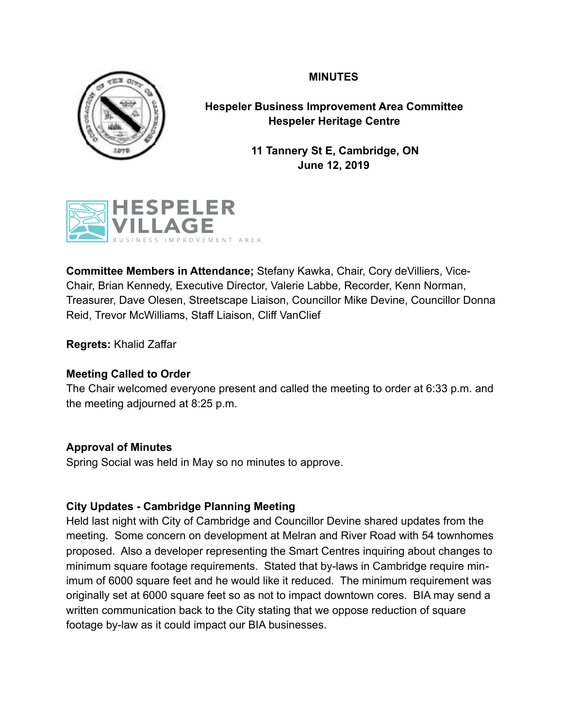# **MINUTES**



**Hespeler Business Improvement Area Committee Hespeler Heritage Centre** 

> **11 Tannery St E, Cambridge, ON June 12, 2019**



**Committee Members in Attendance;** Stefany Kawka, Chair, Cory deVilliers, Vice-Chair, Brian Kennedy, Executive Director, Valerie Labbe, Recorder, Kenn Norman, Treasurer, Dave Olesen, Streetscape Liaison, Councillor Mike Devine, Councillor Donna Reid, Trevor McWilliams, Staff Liaison, Cliff VanClief

**Regrets:** Khalid Zaffar

# **Meeting Called to Order**

The Chair welcomed everyone present and called the meeting to order at 6:33 p.m. and the meeting adjourned at 8:25 p.m.

# **Approval of Minutes**

Spring Social was held in May so no minutes to approve.

# **City Updates - Cambridge Planning Meeting**

Held last night with City of Cambridge and Councillor Devine shared updates from the meeting. Some concern on development at Melran and River Road with 54 townhomes proposed. Also a developer representing the Smart Centres inquiring about changes to minimum square footage requirements. Stated that by-laws in Cambridge require minimum of 6000 square feet and he would like it reduced. The minimum requirement was originally set at 6000 square feet so as not to impact downtown cores. BIA may send a written communication back to the City stating that we oppose reduction of square footage by-law as it could impact our BIA businesses.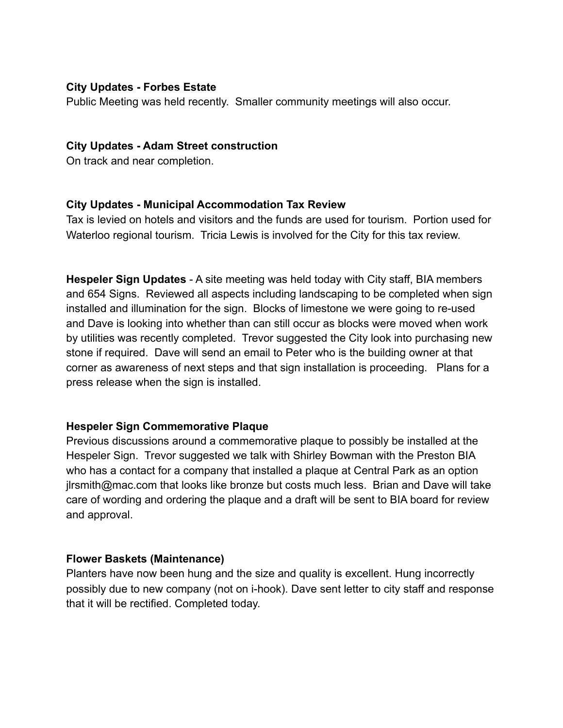### **City Updates - Forbes Estate**

Public Meeting was held recently. Smaller community meetings will also occur.

#### **City Updates - Adam Street construction**

On track and near completion.

### **City Updates - Municipal Accommodation Tax Review**

Tax is levied on hotels and visitors and the funds are used for tourism. Portion used for Waterloo regional tourism. Tricia Lewis is involved for the City for this tax review.

**Hespeler Sign Updates** - A site meeting was held today with City staff, BIA members and 654 Signs. Reviewed all aspects including landscaping to be completed when sign installed and illumination for the sign. Blocks of limestone we were going to re-used and Dave is looking into whether than can still occur as blocks were moved when work by utilities was recently completed. Trevor suggested the City look into purchasing new stone if required. Dave will send an email to Peter who is the building owner at that corner as awareness of next steps and that sign installation is proceeding. Plans for a press release when the sign is installed.

#### **Hespeler Sign Commemorative Plaque**

Previous discussions around a commemorative plaque to possibly be installed at the Hespeler Sign. Trevor suggested we talk with Shirley Bowman with the Preston BIA who has a contact for a company that installed a plaque at Central Park as an option jlrsmith@mac.com that looks like bronze but costs much less. Brian and Dave will take care of wording and ordering the plaque and a draft will be sent to BIA board for review and approval.

#### **Flower Baskets (Maintenance)**

Planters have now been hung and the size and quality is excellent. Hung incorrectly possibly due to new company (not on i-hook). Dave sent letter to city staff and response that it will be rectified. Completed today.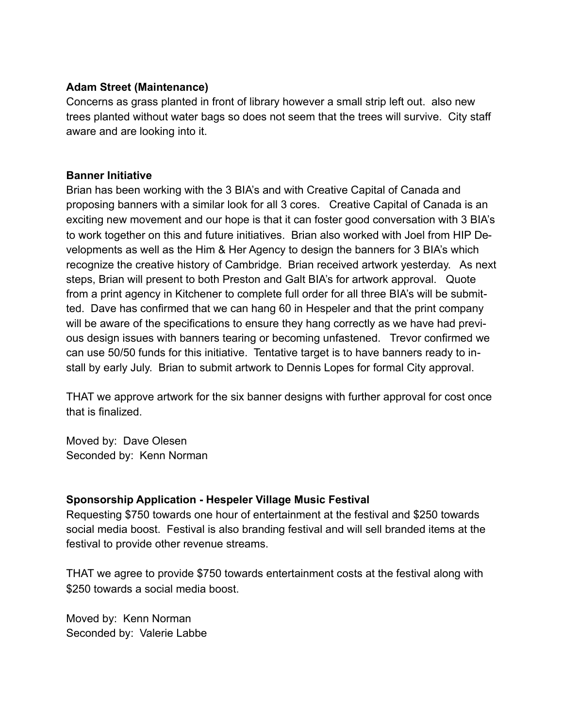# **Adam Street (Maintenance)**

Concerns as grass planted in front of library however a small strip left out. also new trees planted without water bags so does not seem that the trees will survive. City staff aware and are looking into it.

#### **Banner Initiative**

Brian has been working with the 3 BIA's and with Creative Capital of Canada and proposing banners with a similar look for all 3 cores. Creative Capital of Canada is an exciting new movement and our hope is that it can foster good conversation with 3 BIA's to work together on this and future initiatives. Brian also worked with Joel from HIP Developments as well as the Him & Her Agency to design the banners for 3 BIA's which recognize the creative history of Cambridge. Brian received artwork yesterday. As next steps, Brian will present to both Preston and Galt BIA's for artwork approval. Quote from a print agency in Kitchener to complete full order for all three BIA's will be submitted. Dave has confirmed that we can hang 60 in Hespeler and that the print company will be aware of the specifications to ensure they hang correctly as we have had previous design issues with banners tearing or becoming unfastened. Trevor confirmed we can use 50/50 funds for this initiative. Tentative target is to have banners ready to install by early July. Brian to submit artwork to Dennis Lopes for formal City approval.

THAT we approve artwork for the six banner designs with further approval for cost once that is finalized.

Moved by: Dave Olesen Seconded by: Kenn Norman

# **Sponsorship Application - Hespeler Village Music Festival**

Requesting \$750 towards one hour of entertainment at the festival and \$250 towards social media boost. Festival is also branding festival and will sell branded items at the festival to provide other revenue streams.

THAT we agree to provide \$750 towards entertainment costs at the festival along with \$250 towards a social media boost.

Moved by: Kenn Norman Seconded by: Valerie Labbe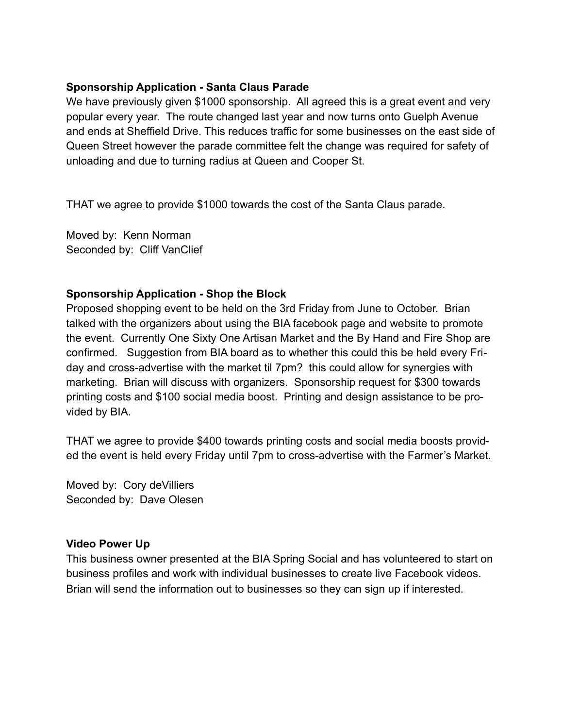### **Sponsorship Application - Santa Claus Parade**

We have previously given \$1000 sponsorship. All agreed this is a great event and very popular every year. The route changed last year and now turns onto Guelph Avenue and ends at Sheffield Drive. This reduces traffic for some businesses on the east side of Queen Street however the parade committee felt the change was required for safety of unloading and due to turning radius at Queen and Cooper St.

THAT we agree to provide \$1000 towards the cost of the Santa Claus parade.

Moved by: Kenn Norman Seconded by: Cliff VanClief

### **Sponsorship Application - Shop the Block**

Proposed shopping event to be held on the 3rd Friday from June to October. Brian talked with the organizers about using the BIA facebook page and website to promote the event. Currently One Sixty One Artisan Market and the By Hand and Fire Shop are confirmed. Suggestion from BIA board as to whether this could this be held every Friday and cross-advertise with the market til 7pm? this could allow for synergies with marketing. Brian will discuss with organizers. Sponsorship request for \$300 towards printing costs and \$100 social media boost. Printing and design assistance to be provided by BIA.

THAT we agree to provide \$400 towards printing costs and social media boosts provided the event is held every Friday until 7pm to cross-advertise with the Farmer's Market.

Moved by: Cory deVilliers Seconded by: Dave Olesen

#### **Video Power Up**

This business owner presented at the BIA Spring Social and has volunteered to start on business profiles and work with individual businesses to create live Facebook videos. Brian will send the information out to businesses so they can sign up if interested.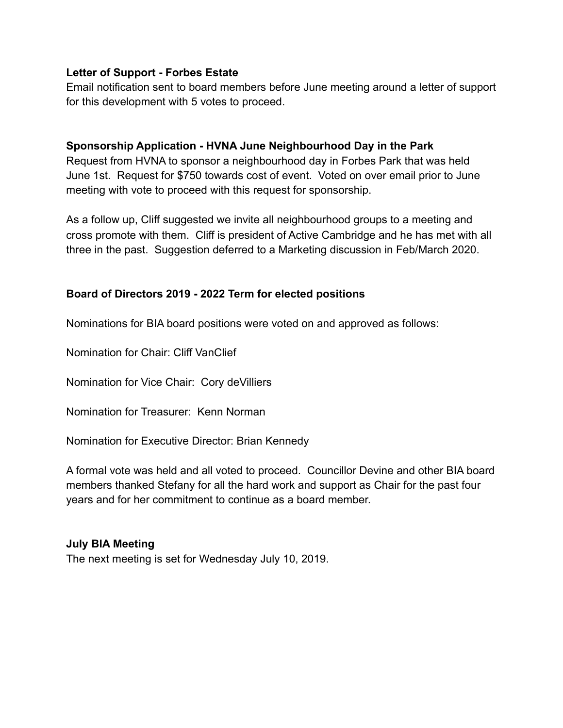#### **Letter of Support - Forbes Estate**

Email notification sent to board members before June meeting around a letter of support for this development with 5 votes to proceed.

# **Sponsorship Application - HVNA June Neighbourhood Day in the Park**

Request from HVNA to sponsor a neighbourhood day in Forbes Park that was held June 1st. Request for \$750 towards cost of event. Voted on over email prior to June meeting with vote to proceed with this request for sponsorship.

As a follow up, Cliff suggested we invite all neighbourhood groups to a meeting and cross promote with them. Cliff is president of Active Cambridge and he has met with all three in the past. Suggestion deferred to a Marketing discussion in Feb/March 2020.

# **Board of Directors 2019 - 2022 Term for elected positions**

Nominations for BIA board positions were voted on and approved as follows:

Nomination for Chair: Cliff VanClief

Nomination for Vice Chair: Cory deVilliers

Nomination for Treasurer: Kenn Norman

Nomination for Executive Director: Brian Kennedy

A formal vote was held and all voted to proceed. Councillor Devine and other BIA board members thanked Stefany for all the hard work and support as Chair for the past four years and for her commitment to continue as a board member.

# **July BIA Meeting**

The next meeting is set for Wednesday July 10, 2019.